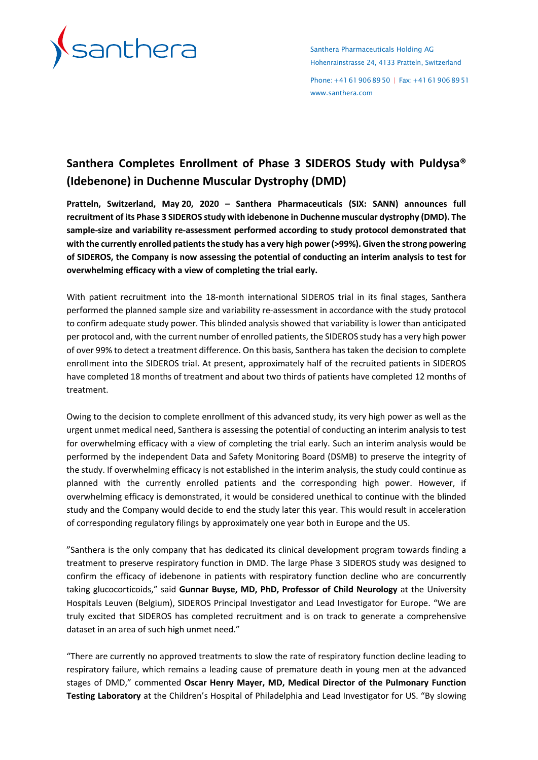

Santhera Pharmaceuticals Holding AG Hohenrainstrasse 24, 4133 Pratteln, Switzerland

Phone: +41 61 906 89 50 | Fax: +41 61 906 89 51 [www.santhera.com](http://www.santhera.com/)

# **Santhera Completes Enrollment of Phase 3 SIDEROS Study with Puldysa® (Idebenone) in Duchenne Muscular Dystrophy (DMD)**

**Pratteln, Switzerland, May 20, 2020 – Santhera Pharmaceuticals (SIX: SANN) announces full recruitment of its Phase 3 SIDEROS study with idebenone in Duchenne muscular dystrophy (DMD). The sample-size and variability re-assessment performed according to study protocol demonstrated that with the currently enrolled patients the study has a very high power (>99%). Given the strong powering of SIDEROS, the Company is now assessing the potential of conducting an interim analysis to test for overwhelming efficacy with a view of completing the trial early.**

With patient recruitment into the 18-month international SIDEROS trial in its final stages, Santhera performed the planned sample size and variability re-assessment in accordance with the study protocol to confirm adequate study power. This blinded analysis showed that variability is lower than anticipated per protocol and, with the current number of enrolled patients, the SIDEROS study has a very high power of over 99% to detect a treatment difference. On this basis, Santhera has taken the decision to complete enrollment into the SIDEROS trial. At present, approximately half of the recruited patients in SIDEROS have completed 18 months of treatment and about two thirds of patients have completed 12 months of treatment.

Owing to the decision to complete enrollment of this advanced study, its very high power as well as the urgent unmet medical need, Santhera is assessing the potential of conducting an interim analysis to test for overwhelming efficacy with a view of completing the trial early. Such an interim analysis would be performed by the independent Data and Safety Monitoring Board (DSMB) to preserve the integrity of the study. If overwhelming efficacy is not established in the interim analysis, the study could continue as planned with the currently enrolled patients and the corresponding high power. However, if overwhelming efficacy is demonstrated, it would be considered unethical to continue with the blinded study and the Company would decide to end the study later this year. This would result in acceleration of corresponding regulatory filings by approximately one year both in Europe and the US.

"Santhera is the only company that has dedicated its clinical development program towards finding a treatment to preserve respiratory function in DMD. The large Phase 3 SIDEROS study was designed to confirm the efficacy of idebenone in patients with respiratory function decline who are concurrently taking glucocorticoids," said **Gunnar Buyse, MD, PhD, Professor of Child Neurology** at the University Hospitals Leuven (Belgium), SIDEROS Principal Investigator and Lead Investigator for Europe. "We are truly excited that SIDEROS has completed recruitment and is on track to generate a comprehensive dataset in an area of such high unmet need."

"There are currently no approved treatments to slow the rate of respiratory function decline leading to respiratory failure, which remains a leading cause of premature death in young men at the advanced stages of DMD," commented **Oscar Henry Mayer, MD, Medical Director of the Pulmonary Function Testing Laboratory** at the Children's Hospital of Philadelphia and Lead Investigator for US. "By slowing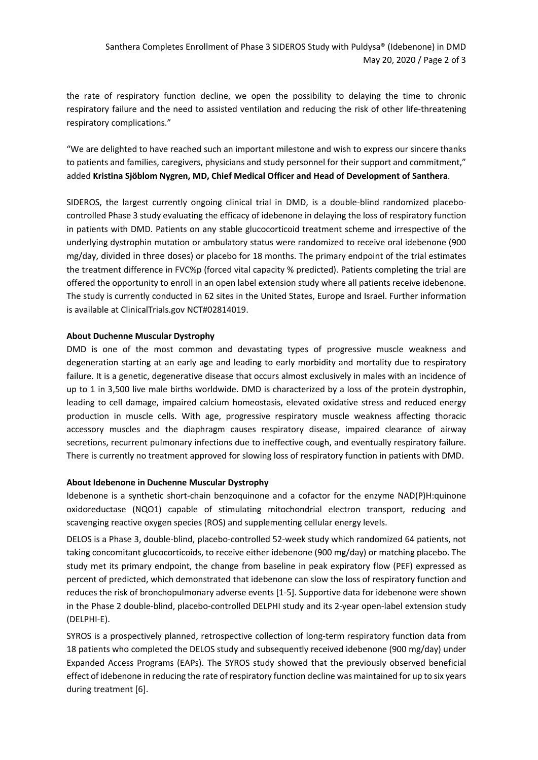the rate of respiratory function decline, we open the possibility to delaying the time to chronic respiratory failure and the need to assisted ventilation and reducing the risk of other life-threatening respiratory complications."

"We are delighted to have reached such an important milestone and wish to express our sincere thanks to patients and families, caregivers, physicians and study personnel for their support and commitment," added **Kristina Sjöblom Nygren, MD, Chief Medical Officer and Head of Development of Santhera**.

SIDEROS, the largest currently ongoing clinical trial in DMD, is a double-blind randomized placebocontrolled Phase 3 study evaluating the efficacy of idebenone in delaying the loss of respiratory function in patients with DMD. Patients on any stable glucocorticoid treatment scheme and irrespective of the underlying dystrophin mutation or ambulatory status were randomized to receive oral idebenone (900 mg/day, divided in three doses) or placebo for 18 months. The primary endpoint of the trial estimates the treatment difference in FVC%p (forced vital capacity % predicted). Patients completing the trial are offered the opportunity to enroll in an open label extension study where all patients receive idebenone. The study is currently conducted in 62 sites in the United States, Europe and Israel. Further information is available at ClinicalTrials.gov NCT#02814019.

# **About Duchenne Muscular Dystrophy**

DMD is one of the most common and devastating types of progressive muscle weakness and degeneration starting at an early age and leading to early morbidity and mortality due to respiratory failure. It is a genetic, degenerative disease that occurs almost exclusively in males with an incidence of up to 1 in 3,500 live male births worldwide. DMD is characterized by a loss of the protein dystrophin, leading to cell damage, impaired calcium homeostasis, elevated oxidative stress and reduced energy production in muscle cells. With age, progressive respiratory muscle weakness affecting thoracic accessory muscles and the diaphragm causes respiratory disease, impaired clearance of airway secretions, recurrent pulmonary infections due to ineffective cough, and eventually respiratory failure. There is currently no treatment approved for slowing loss of respiratory function in patients with DMD.

#### **About Idebenone in Duchenne Muscular Dystrophy**

Idebenone is a synthetic short-chain benzoquinone and a cofactor for the enzyme NAD(P)H:quinone oxidoreductase (NQO1) capable of stimulating mitochondrial electron transport, reducing and scavenging reactive oxygen species (ROS) and supplementing cellular energy levels.

DELOS is a Phase 3, double-blind, placebo-controlled 52-week study which randomized 64 patients, not taking concomitant glucocorticoids, to receive either idebenone (900 mg/day) or matching placebo. The study met its primary endpoint, the change from baseline in peak expiratory flow (PEF) expressed as percent of predicted, which demonstrated that idebenone can slow the loss of respiratory function and reduces the risk of bronchopulmonary adverse events [1-5]. Supportive data for idebenone were shown in the Phase 2 double-blind, placebo-controlled DELPHI study and its 2-year open-label extension study (DELPHI-E).

SYROS is a prospectively planned, retrospective collection of long-term respiratory function data from 18 patients who completed the DELOS study and subsequently received idebenone (900 mg/day) under Expanded Access Programs (EAPs). The SYROS study showed that the previously observed beneficial effect of idebenone in reducing the rate of respiratory function decline was maintained for up to six years during treatment [6].